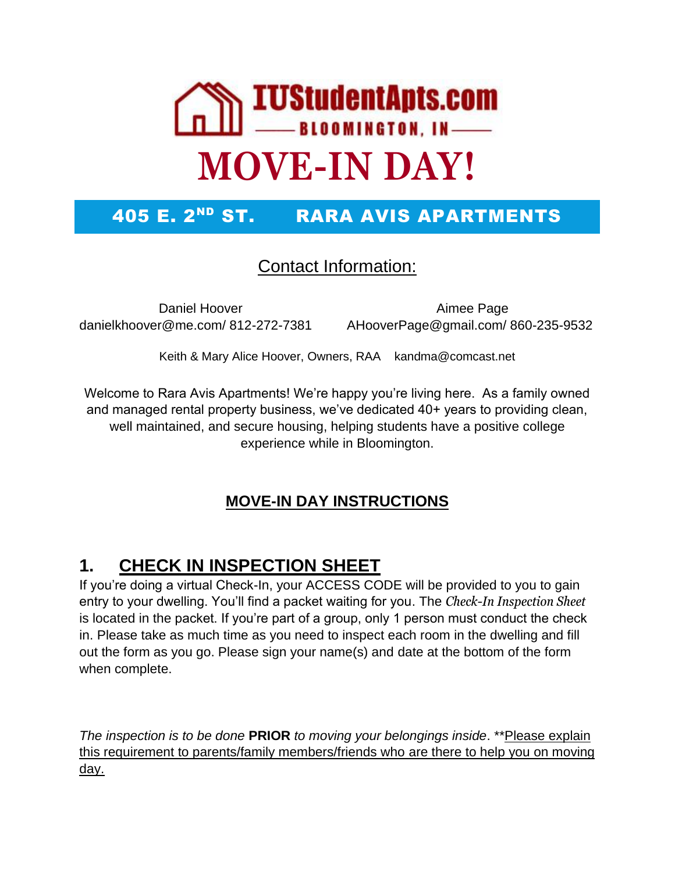

## 405 E. 2<sup>ND</sup> ST. RARA AVIS APARTMENTS

#### Contact Information:

Daniel Hoover **Aimee Page** danielkhoover@me.com/ 812-272-7381 AHooverPage@gmail.com/ 860-235-9532

Keith & Mary Alice Hoover, Owners, RAA kandma@comcast.net

Welcome to Rara Avis Apartments! We're happy you're living here. As a family owned and managed rental property business, we've dedicated 40+ years to providing clean, well maintained, and secure housing, helping students have a positive college experience while in Bloomington.

#### **MOVE-IN DAY INSTRUCTIONS**

### **1. CHECK IN INSPECTION SHEET**

If you're doing a virtual Check-In, your ACCESS CODE will be provided to you to gain entry to your dwelling. You'll find a packet waiting for you. The *Check-In Inspection Sheet* is located in the packet. If you're part of a group, only 1 person must conduct the check in. Please take as much time as you need to inspect each room in the dwelling and fill out the form as you go. Please sign your name(s) and date at the bottom of the form when complete.

*The inspection is to be done* **PRIOR** *to moving your belongings inside*. \*\*Please explain this requirement to parents/family members/friends who are there to help you on moving day.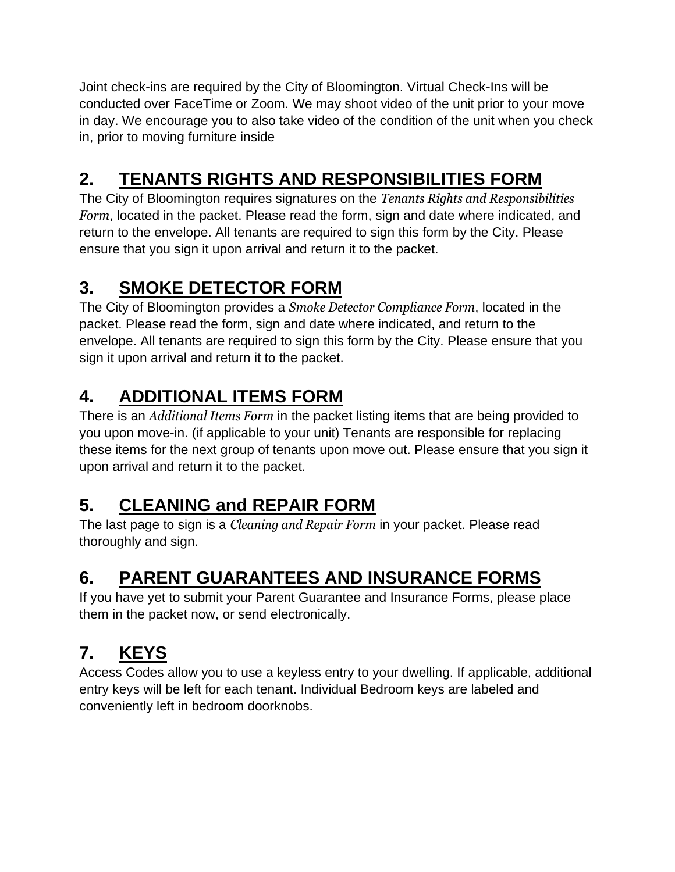Joint check-ins are required by the City of Bloomington. Virtual Check-Ins will be conducted over FaceTime or Zoom. We may shoot video of the unit prior to your move in day. We encourage you to also take video of the condition of the unit when you check in, prior to moving furniture inside

# **2. TENANTS RIGHTS AND RESPONSIBILITIES FORM**

The City of Bloomington requires signatures on the *Tenants Rights and Responsibilities Form*, located in the packet. Please read the form, sign and date where indicated, and return to the envelope. All tenants are required to sign this form by the City. Please ensure that you sign it upon arrival and return it to the packet.

## **3. SMOKE DETECTOR FORM**

The City of Bloomington provides a *Smoke Detector Compliance Form*, located in the packet. Please read the form, sign and date where indicated, and return to the envelope. All tenants are required to sign this form by the City. Please ensure that you sign it upon arrival and return it to the packet.

# **4. ADDITIONAL ITEMS FORM**

There is an *Additional Items Form* in the packet listing items that are being provided to you upon move-in. (if applicable to your unit) Tenants are responsible for replacing these items for the next group of tenants upon move out. Please ensure that you sign it upon arrival and return it to the packet.

## **5. CLEANING and REPAIR FORM**

The last page to sign is a *Cleaning and Repair Form* in your packet. Please read thoroughly and sign.

# **6. PARENT GUARANTEES AND INSURANCE FORMS**

If you have yet to submit your Parent Guarantee and Insurance Forms, please place them in the packet now, or send electronically.

# **7. KEYS**

Access Codes allow you to use a keyless entry to your dwelling. If applicable, additional entry keys will be left for each tenant. Individual Bedroom keys are labeled and conveniently left in bedroom doorknobs.